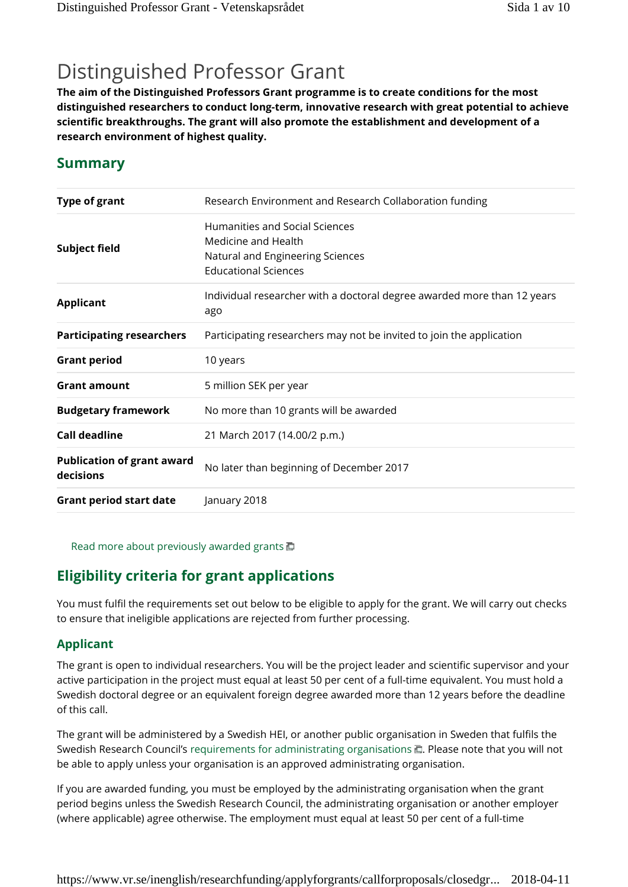# Distinguished Professor Grant

**The aim of the Distinguished Professors Grant programme is to create conditions for the most distinguished researchers to conduct long-term, innovative research with great potential to achieve scientific breakthroughs. The grant will also promote the establishment and development of a research environment of highest quality.**

# **Summary**

| <b>Type of grant</b>                           | Research Environment and Research Collaboration funding                                                                  |
|------------------------------------------------|--------------------------------------------------------------------------------------------------------------------------|
| <b>Subject field</b>                           | Humanities and Social Sciences<br>Medicine and Health<br>Natural and Engineering Sciences<br><b>Educational Sciences</b> |
| <b>Applicant</b>                               | Individual researcher with a doctoral degree awarded more than 12 years<br>ago                                           |
| <b>Participating researchers</b>               | Participating researchers may not be invited to join the application                                                     |
| <b>Grant period</b>                            | 10 years                                                                                                                 |
| <b>Grant amount</b>                            | 5 million SEK per year                                                                                                   |
| <b>Budgetary framework</b>                     | No more than 10 grants will be awarded                                                                                   |
| <b>Call deadline</b>                           | 21 March 2017 (14.00/2 p.m.)                                                                                             |
| <b>Publication of grant award</b><br>decisions | No later than beginning of December 2017                                                                                 |
| <b>Grant period start date</b>                 | January 2018                                                                                                             |

Read more about previously awarded grants  $\Box$ 

# **Eligibility criteria for grant applications**

You must fulfil the requirements set out below to be eligible to apply for the grant. We will carry out checks to ensure that ineligible applications are rejected from further processing.

# **Applicant**

The grant is open to individual researchers. You will be the project leader and scientific supervisor and your active participation in the project must equal at least 50 per cent of a full-time equivalent. You must hold a Swedish doctoral degree or an equivalent foreign degree awarded more than 12 years before the deadline of this call.

The grant will be administered by a Swedish HEI, or another public organisation in Sweden that fulfils the Swedish Research Council's requirements for administrating organisations  $\Box$ . Please note that you will not be able to apply unless your organisation is an approved administrating organisation.

If you are awarded funding, you must be employed by the administrating organisation when the grant period begins unless the Swedish Research Council, the administrating organisation or another employer (where applicable) agree otherwise. The employment must equal at least 50 per cent of a full-time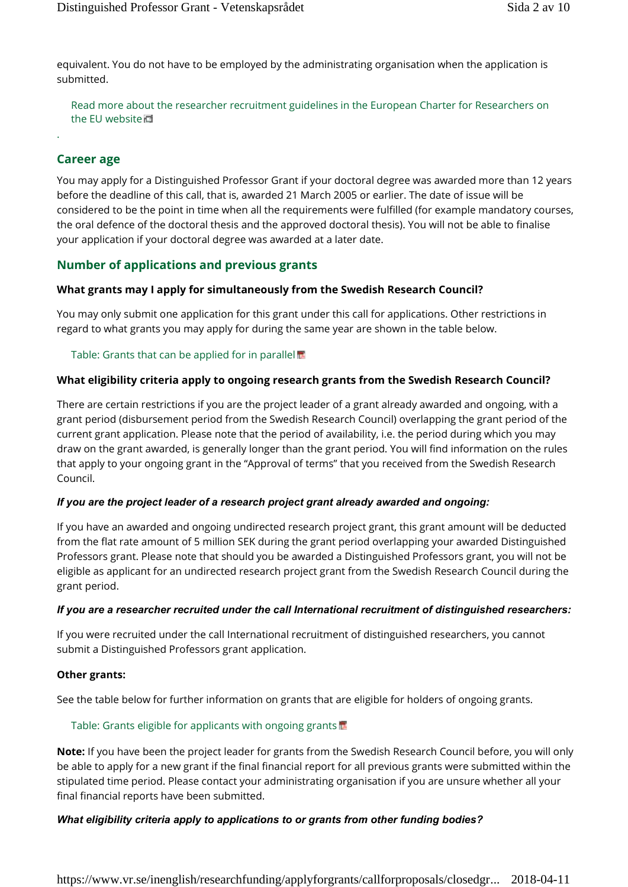equivalent. You do not have to be employed by the administrating organisation when the application is submitted.

Read more about the researcher recruitment guidelines in the European Charter for Researchers on the EU website

# **Career age**

.

You may apply for a Distinguished Professor Grant if your doctoral degree was awarded more than 12 years before the deadline of this call, that is, awarded 21 March 2005 or earlier. The date of issue will be considered to be the point in time when all the requirements were fulfilled (for example mandatory courses, the oral defence of the doctoral thesis and the approved doctoral thesis). You will not be able to finalise your application if your doctoral degree was awarded at a later date.

# **Number of applications and previous grants**

# **What grants may I apply for simultaneously from the Swedish Research Council?**

You may only submit one application for this grant under this call for applications. Other restrictions in regard to what grants you may apply for during the same year are shown in the table below.

# Table: Grants that can be applied for in parallel

# **What eligibility criteria apply to ongoing research grants from the Swedish Research Council?**

There are certain restrictions if you are the project leader of a grant already awarded and ongoing, with a grant period (disbursement period from the Swedish Research Council) overlapping the grant period of the current grant application. Please note that the period of availability, i.e. the period during which you may draw on the grant awarded, is generally longer than the grant period. You will find information on the rules that apply to your ongoing grant in the "Approval of terms" that you received from the Swedish Research Council.

# *If you are the project leader of a research project grant already awarded and ongoing:*

If you have an awarded and ongoing undirected research project grant, this grant amount will be deducted from the flat rate amount of 5 million SEK during the grant period overlapping your awarded Distinguished Professors grant. Please note that should you be awarded a Distinguished Professors grant, you will not be eligible as applicant for an undirected research project grant from the Swedish Research Council during the grant period.

#### *If you are a researcher recruited under the call International recruitment of distinguished researchers:*

If you were recruited under the call International recruitment of distinguished researchers, you cannot submit a Distinguished Professors grant application.

# **Other grants:**

See the table below for further information on grants that are eligible for holders of ongoing grants.

# Table: Grants eligible for applicants with ongoing grants

**Note:** If you have been the project leader for grants from the Swedish Research Council before, you will only be able to apply for a new grant if the final financial report for all previous grants were submitted within the stipulated time period. Please contact your administrating organisation if you are unsure whether all your final financial reports have been submitted.

# *What eligibility criteria apply to applications to or grants from other funding bodies?*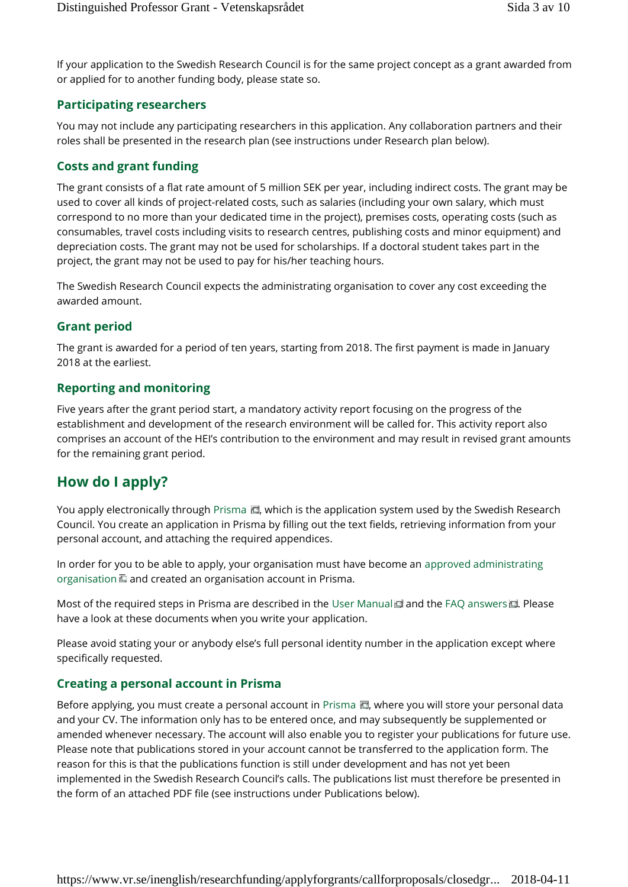If your application to the Swedish Research Council is for the same project concept as a grant awarded from or applied for to another funding body, please state so.

# **Participating researchers**

You may not include any participating researchers in this application. Any collaboration partners and their roles shall be presented in the research plan (see instructions under Research plan below).

# **Costs and grant funding**

The grant consists of a flat rate amount of 5 million SEK per year, including indirect costs. The grant may be used to cover all kinds of project-related costs, such as salaries (including your own salary, which must correspond to no more than your dedicated time in the project), premises costs, operating costs (such as consumables, travel costs including visits to research centres, publishing costs and minor equipment) and depreciation costs. The grant may not be used for scholarships. If a doctoral student takes part in the project, the grant may not be used to pay for his/her teaching hours.

The Swedish Research Council expects the administrating organisation to cover any cost exceeding the awarded amount.

# **Grant period**

The grant is awarded for a period of ten years, starting from 2018. The first payment is made in January 2018 at the earliest.

# **Reporting and monitoring**

Five years after the grant period start, a mandatory activity report focusing on the progress of the establishment and development of the research environment will be called for. This activity report also comprises an account of the HEI's contribution to the environment and may result in revised grant amounts for the remaining grant period.

# **How do I apply?**

You apply electronically through Prisma  $\Box$ , which is the application system used by the Swedish Research Council. You create an application in Prisma by filling out the text fields, retrieving information from your personal account, and attaching the required appendices.

In order for you to be able to apply, your organisation must have become an approved administrating organisation  $\bar{a}$  and created an organisation account in Prisma.

Most of the required steps in Prisma are described in the User Manual and the FAQ answers . Please have a look at these documents when you write your application.

Please avoid stating your or anybody else's full personal identity number in the application except where specifically requested.

# **Creating a personal account in Prisma**

Before applying, you must create a personal account in Prisma  $\Box$ , where you will store your personal data and your CV. The information only has to be entered once, and may subsequently be supplemented or amended whenever necessary. The account will also enable you to register your publications for future use. Please note that publications stored in your account cannot be transferred to the application form. The reason for this is that the publications function is still under development and has not yet been implemented in the Swedish Research Council's calls. The publications list must therefore be presented in the form of an attached PDF file (see instructions under Publications below).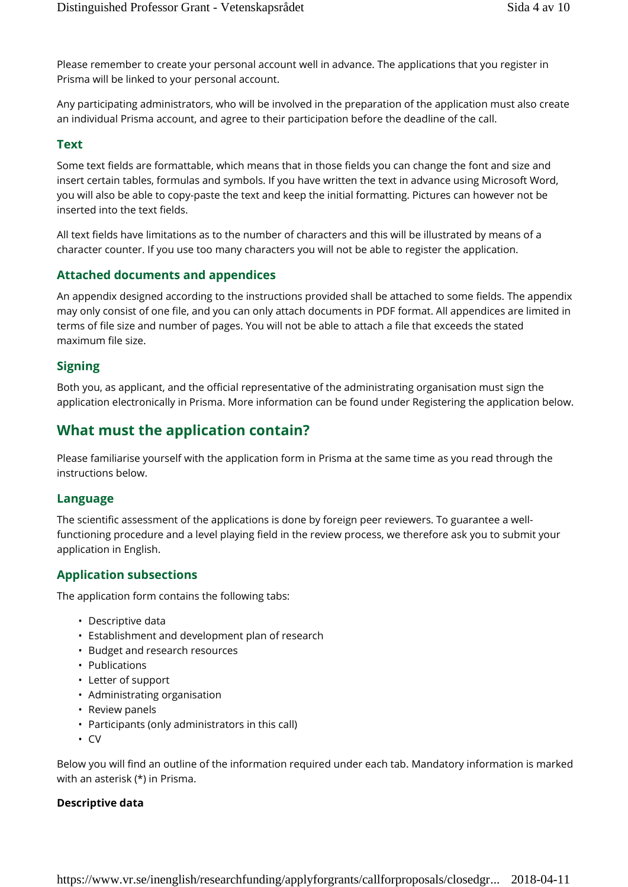Please remember to create your personal account well in advance. The applications that you register in Prisma will be linked to your personal account.

Any participating administrators, who will be involved in the preparation of the application must also create an individual Prisma account, and agree to their participation before the deadline of the call.

# **Text**

Some text fields are formattable, which means that in those fields you can change the font and size and insert certain tables, formulas and symbols. If you have written the text in advance using Microsoft Word, you will also be able to copy-paste the text and keep the initial formatting. Pictures can however not be inserted into the text fields.

All text fields have limitations as to the number of characters and this will be illustrated by means of a character counter. If you use too many characters you will not be able to register the application.

# **Attached documents and appendices**

An appendix designed according to the instructions provided shall be attached to some fields. The appendix may only consist of one file, and you can only attach documents in PDF format. All appendices are limited in terms of file size and number of pages. You will not be able to attach a file that exceeds the stated maximum file size.

# **Signing**

Both you, as applicant, and the official representative of the administrating organisation must sign the application electronically in Prisma. More information can be found under Registering the application below.

# **What must the application contain?**

Please familiarise yourself with the application form in Prisma at the same time as you read through the instructions below.

# **Language**

The scientific assessment of the applications is done by foreign peer reviewers. To guarantee a wellfunctioning procedure and a level playing field in the review process, we therefore ask you to submit your application in English.

# **Application subsections**

The application form contains the following tabs:

- Descriptive data
- Establishment and development plan of research
- Budget and research resources
- Publications
- Letter of support
- Administrating organisation
- Review panels
- Participants (only administrators in this call)
- CV

Below you will find an outline of the information required under each tab. Mandatory information is marked with an asterisk (\*) in Prisma.

#### **Descriptive data**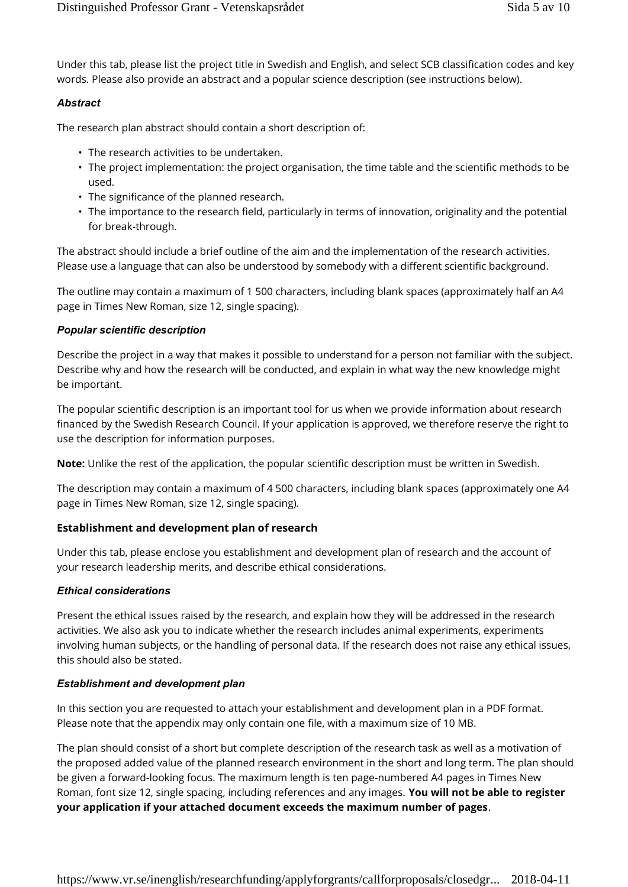Under this tab, please list the project title in Swedish and English, and select SCB classification codes and key words. Please also provide an abstract and a popular science description (see instructions below).

#### *Abstract*

The research plan abstract should contain a short description of:

- The research activities to be undertaken.
- The project implementation: the project organisation, the time table and the scientific methods to be used.
- The significance of the planned research.
- The importance to the research field, particularly in terms of innovation, originality and the potential for break-through.

The abstract should include a brief outline of the aim and the implementation of the research activities. Please use a language that can also be understood by somebody with a different scientific background.

The outline may contain a maximum of 1 500 characters, including blank spaces (approximately half an A4 page in Times New Roman, size 12, single spacing).

#### *Popular scientific description*

Describe the project in a way that makes it possible to understand for a person not familiar with the subject. Describe why and how the research will be conducted, and explain in what way the new knowledge might be important.

The popular scientific description is an important tool for us when we provide information about research financed by the Swedish Research Council. If your application is approved, we therefore reserve the right to use the description for information purposes.

**Note:** Unlike the rest of the application, the popular scientific description must be written in Swedish.

The description may contain a maximum of 4 500 characters, including blank spaces (approximately one A4 page in Times New Roman, size 12, single spacing).

# **Establishment and development plan of research**

Under this tab, please enclose you establishment and development plan of research and the account of your research leadership merits, and describe ethical considerations.

#### *Ethical considerations*

Present the ethical issues raised by the research, and explain how they will be addressed in the research activities. We also ask you to indicate whether the research includes animal experiments, experiments involving human subjects, or the handling of personal data. If the research does not raise any ethical issues, this should also be stated.

#### *Establishment and development plan*

In this section you are requested to attach your establishment and development plan in a PDF format. Please note that the appendix may only contain one file, with a maximum size of 10 MB.

The plan should consist of a short but complete description of the research task as well as a motivation of the proposed added value of the planned research environment in the short and long term. The plan should be given a forward-looking focus. The maximum length is ten page-numbered A4 pages in Times New Roman, font size 12, single spacing, including references and any images. **You will not be able to register your application if your attached document exceeds the maximum number of pages**.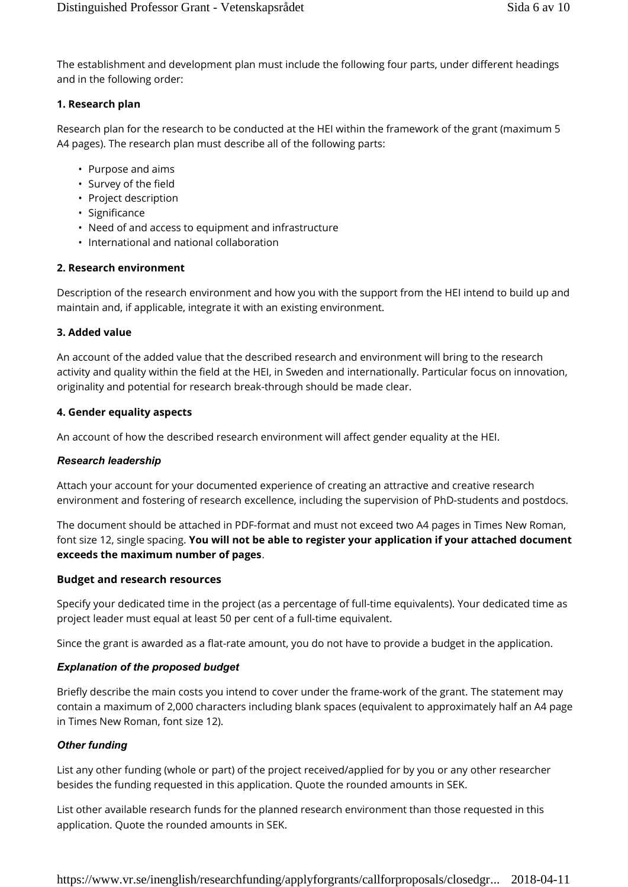The establishment and development plan must include the following four parts, under different headings and in the following order:

# **1. Research plan**

Research plan for the research to be conducted at the HEI within the framework of the grant (maximum 5 A4 pages). The research plan must describe all of the following parts:

- Purpose and aims
- Survey of the field
- Project description
- Significance
- Need of and access to equipment and infrastructure
- International and national collaboration

# **2. Research environment**

Description of the research environment and how you with the support from the HEI intend to build up and maintain and, if applicable, integrate it with an existing environment.

#### **3. Added value**

An account of the added value that the described research and environment will bring to the research activity and quality within the field at the HEI, in Sweden and internationally. Particular focus on innovation, originality and potential for research break-through should be made clear.

#### **4. Gender equality aspects**

An account of how the described research environment will affect gender equality at the HEI.

# *Research leadership*

Attach your account for your documented experience of creating an attractive and creative research environment and fostering of research excellence, including the supervision of PhD-students and postdocs.

The document should be attached in PDF-format and must not exceed two A4 pages in Times New Roman, font size 12, single spacing. **You will not be able to register your application if your attached document exceeds the maximum number of pages**.

# **Budget and research resources**

Specify your dedicated time in the project (as a percentage of full-time equivalents). Your dedicated time as project leader must equal at least 50 per cent of a full-time equivalent.

Since the grant is awarded as a flat-rate amount, you do not have to provide a budget in the application.

# *Explanation of the proposed budget*

Briefly describe the main costs you intend to cover under the frame-work of the grant. The statement may contain a maximum of 2,000 characters including blank spaces (equivalent to approximately half an A4 page in Times New Roman, font size 12).

# *Other funding*

List any other funding (whole or part) of the project received/applied for by you or any other researcher besides the funding requested in this application. Quote the rounded amounts in SEK.

List other available research funds for the planned research environment than those requested in this application. Quote the rounded amounts in SEK.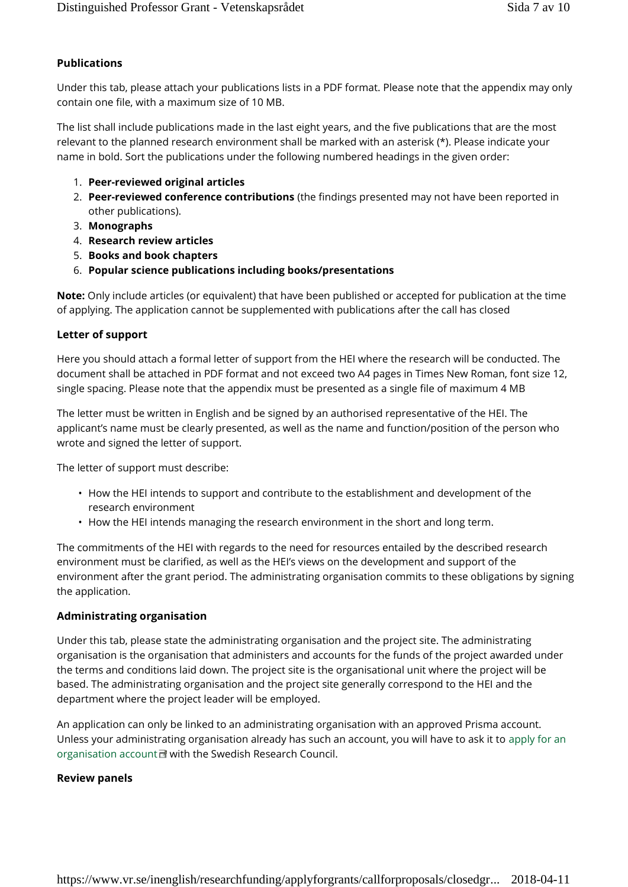# **Publications**

Under this tab, please attach your publications lists in a PDF format. Please note that the appendix may only contain one file, with a maximum size of 10 MB.

The list shall include publications made in the last eight years, and the five publications that are the most relevant to the planned research environment shall be marked with an asterisk (\*). Please indicate your name in bold. Sort the publications under the following numbered headings in the given order:

- 1. **Peer-reviewed original articles**
- 2. **Peer-reviewed conference contributions** (the findings presented may not have been reported in other publications).
- 3. **Monographs**
- 4. **Research review articles**
- 5. **Books and book chapters**
- 6. **Popular science publications including books/presentations**

**Note:** Only include articles (or equivalent) that have been published or accepted for publication at the time of applying. The application cannot be supplemented with publications after the call has closed

# **Letter of support**

Here you should attach a formal letter of support from the HEI where the research will be conducted. The document shall be attached in PDF format and not exceed two A4 pages in Times New Roman, font size 12, single spacing. Please note that the appendix must be presented as a single file of maximum 4 MB

The letter must be written in English and be signed by an authorised representative of the HEI. The applicant's name must be clearly presented, as well as the name and function/position of the person who wrote and signed the letter of support.

The letter of support must describe:

- How the HEI intends to support and contribute to the establishment and development of the research environment
- How the HEI intends managing the research environment in the short and long term.

The commitments of the HEI with regards to the need for resources entailed by the described research environment must be clarified, as well as the HEI's views on the development and support of the environment after the grant period. The administrating organisation commits to these obligations by signing the application.

# **Administrating organisation**

Under this tab, please state the administrating organisation and the project site. The administrating organisation is the organisation that administers and accounts for the funds of the project awarded under the terms and conditions laid down. The project site is the organisational unit where the project will be based. The administrating organisation and the project site generally correspond to the HEI and the department where the project leader will be employed.

An application can only be linked to an administrating organisation with an approved Prisma account. Unless your administrating organisation already has such an account, you will have to ask it to apply for an organisation account with the Swedish Research Council.

# **Review panels**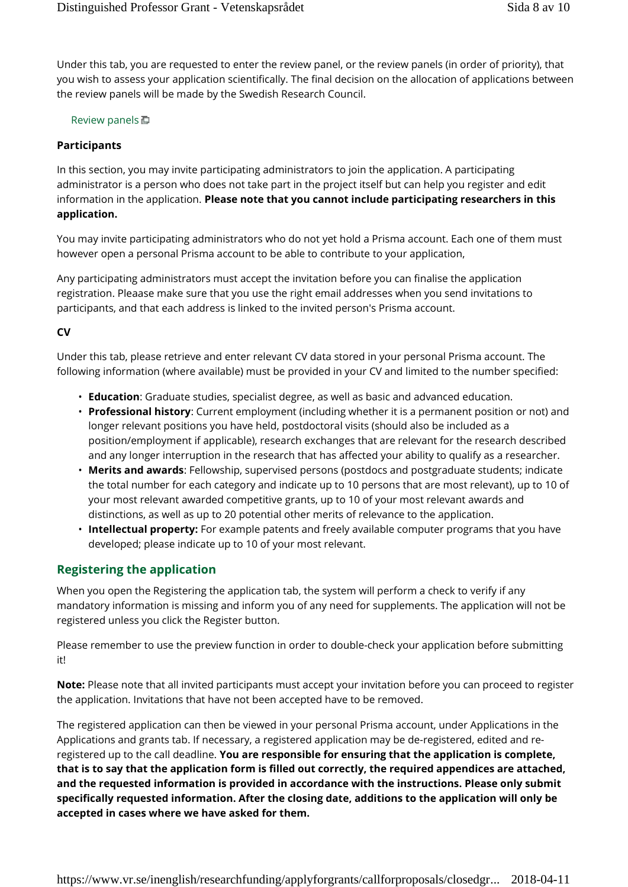Under this tab, you are requested to enter the review panel, or the review panels (in order of priority), that you wish to assess your application scientifically. The final decision on the allocation of applications between the review panels will be made by the Swedish Research Council.

#### Review panels

# **Participants**

In this section, you may invite participating administrators to join the application. A participating administrator is a person who does not take part in the project itself but can help you register and edit information in the application. **Please note that you cannot include participating researchers in this application.**

You may invite participating administrators who do not yet hold a Prisma account. Each one of them must however open a personal Prisma account to be able to contribute to your application,

Any participating administrators must accept the invitation before you can finalise the application registration. Pleaase make sure that you use the right email addresses when you send invitations to participants, and that each address is linked to the invited person's Prisma account.

# **CV**

Under this tab, please retrieve and enter relevant CV data stored in your personal Prisma account. The following information (where available) must be provided in your CV and limited to the number specified:

- **Education**: Graduate studies, specialist degree, as well as basic and advanced education.
- **Professional history**: Current employment (including whether it is a permanent position or not) and longer relevant positions you have held, postdoctoral visits (should also be included as a position/employment if applicable), research exchanges that are relevant for the research described and any longer interruption in the research that has affected your ability to qualify as a researcher.
- **Merits and awards**: Fellowship, supervised persons (postdocs and postgraduate students; indicate the total number for each category and indicate up to 10 persons that are most relevant), up to 10 of your most relevant awarded competitive grants, up to 10 of your most relevant awards and distinctions, as well as up to 20 potential other merits of relevance to the application.
- **Intellectual property:** For example patents and freely available computer programs that you have developed; please indicate up to 10 of your most relevant.

# **Registering the application**

When you open the Registering the application tab, the system will perform a check to verify if any mandatory information is missing and inform you of any need for supplements. The application will not be registered unless you click the Register button.

Please remember to use the preview function in order to double-check your application before submitting it!

**Note:** Please note that all invited participants must accept your invitation before you can proceed to register the application. Invitations that have not been accepted have to be removed.

The registered application can then be viewed in your personal Prisma account, under Applications in the Applications and grants tab. If necessary, a registered application may be de-registered, edited and reregistered up to the call deadline. **You are responsible for ensuring that the application is complete, that is to say that the application form is filled out correctly, the required appendices are attached, and the requested information is provided in accordance with the instructions. Please only submit specifically requested information. After the closing date, additions to the application will only be accepted in cases where we have asked for them.**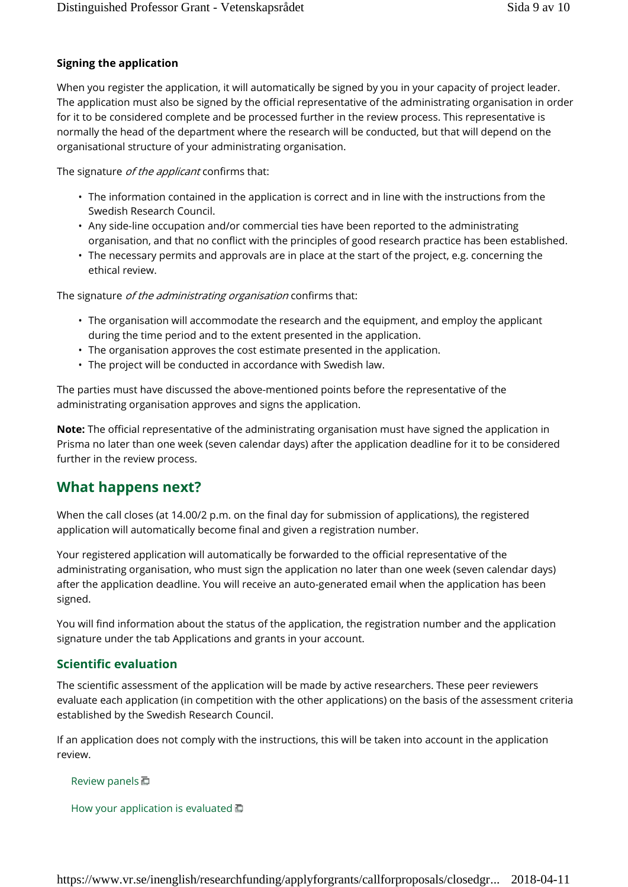# **Signing the application**

When you register the application, it will automatically be signed by you in your capacity of project leader. The application must also be signed by the official representative of the administrating organisation in order for it to be considered complete and be processed further in the review process. This representative is normally the head of the department where the research will be conducted, but that will depend on the organisational structure of your administrating organisation.

The signature *of the applicant* confirms that:

- The information contained in the application is correct and in line with the instructions from the Swedish Research Council.
- Any side-line occupation and/or commercial ties have been reported to the administrating organisation, and that no conflict with the principles of good research practice has been established.
- The necessary permits and approvals are in place at the start of the project, e.g. concerning the ethical review.

The signature *of the administrating organisation* confirms that:

- The organisation will accommodate the research and the equipment, and employ the applicant during the time period and to the extent presented in the application.
- The organisation approves the cost estimate presented in the application.
- The project will be conducted in accordance with Swedish law.

The parties must have discussed the above-mentioned points before the representative of the administrating organisation approves and signs the application.

**Note:** The official representative of the administrating organisation must have signed the application in Prisma no later than one week (seven calendar days) after the application deadline for it to be considered further in the review process.

# **What happens next?**

When the call closes (at 14.00/2 p.m. on the final day for submission of applications), the registered application will automatically become final and given a registration number.

Your registered application will automatically be forwarded to the official representative of the administrating organisation, who must sign the application no later than one week (seven calendar days) after the application deadline. You will receive an auto-generated email when the application has been signed.

You will find information about the status of the application, the registration number and the application signature under the tab Applications and grants in your account.

# **Scientific evaluation**

The scientific assessment of the application will be made by active researchers. These peer reviewers evaluate each application (in competition with the other applications) on the basis of the assessment criteria established by the Swedish Research Council.

If an application does not comply with the instructions, this will be taken into account in the application review.

Review panels

How your application is evaluated  $\Box$